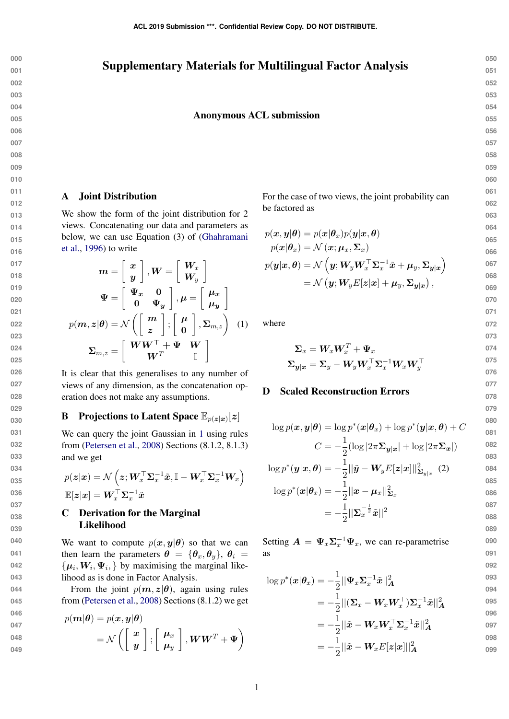## Supplementary Materials for Multilingual Factor Analysis

### Anonymous ACL submission

### **053 054 055**

**050 051 052**

### **056 057 058 059**

**060**

**061 062**

**063**

$$
\begin{array}{c} 064 \\ 065 \\ 066 \end{array}
$$

**090 091 092**

$$
p(\boldsymbol{x}|\boldsymbol{\theta}_x) = \mathcal{N}\left(\boldsymbol{x}; \boldsymbol{\mu}_x, \boldsymbol{\Sigma}_x\right)
$$

$$
p(\boldsymbol{y}|\boldsymbol{x}, \boldsymbol{\theta}) = \mathcal{N}\left( \boldsymbol{y}; \boldsymbol{W}_{\!y} \boldsymbol{W}_{\!x}^\top \boldsymbol{\Sigma}_{\!x}^{-1} \tilde{\boldsymbol{x}} + \boldsymbol{\mu}_{\!y}, \boldsymbol{\Sigma}_{\boldsymbol{y}|\boldsymbol{x}} \right) \\ = \mathcal{N}\left( \boldsymbol{y}; \boldsymbol{W}_{\!y} E[\boldsymbol{z}|\boldsymbol{x}] + \boldsymbol{\mu}_{\!y}, \boldsymbol{\Sigma}_{\boldsymbol{y}|\boldsymbol{x}} \right),
$$

For the case of two views, the joint probability can

<span id="page-0-0"></span>where

be factored as

 $p(\boldsymbol{x}, \boldsymbol{y} | \boldsymbol{\theta}) = p(\boldsymbol{x} | \boldsymbol{\theta}_x) p(\boldsymbol{y} | \boldsymbol{x}, \boldsymbol{\theta})$ 

$$
\begin{aligned} \boldsymbol{\Sigma}_x &= \boldsymbol{W}_x \boldsymbol{W}_x^T + \boldsymbol{\Psi}_x \\ \boldsymbol{\Sigma}_{\boldsymbol{y}|\boldsymbol{x}} &= \boldsymbol{\Sigma}_y - \boldsymbol{W}_y \boldsymbol{W}_x^\top \boldsymbol{\Sigma}_x^{-1} \boldsymbol{W}_x \boldsymbol{W}_y^\top \end{aligned}
$$

### D Scaled Reconstruction Errors

$$
\log p(\mathbf{x}, \mathbf{y}|\boldsymbol{\theta}) = \log p^*(\mathbf{x}|\boldsymbol{\theta}_x) + \log p^*(\mathbf{y}|\mathbf{x}, \boldsymbol{\theta}) + C
$$

$$
C = -\frac{1}{2}(\log |2\pi \boldsymbol{\Sigma}_{\mathbf{y}|\mathbf{x}}| + \log |2\pi \boldsymbol{\Sigma}_{\mathbf{x}}|)
$$

$$
\log p^*(\boldsymbol{y}|\boldsymbol{x},\boldsymbol{\theta}) = -\frac{1}{2}||\tilde{\boldsymbol{y}} - \boldsymbol{W}_{\boldsymbol{y}}E[\boldsymbol{z}|\boldsymbol{x}]||^2_{\boldsymbol{\Sigma}_{\boldsymbol{y}|\boldsymbol{x}}} \tag{2}
$$

$$
\log p^*(\mathbf{x}|\boldsymbol{\theta}_x) = -\frac{1}{2} ||\mathbf{x} - \boldsymbol{\mu}_x||_{\boldsymbol{\Sigma}_x}^2
$$
\n
$$
= -\frac{1}{2} ||\boldsymbol{\Sigma}_x^{-\frac{1}{2}} \tilde{\mathbf{x}}||^2
$$
\n
$$
= -\frac{1}{2} ||\boldsymbol{\Sigma}_x^{-\frac{1}{2}} \tilde{\mathbf{x}}||^2
$$
\n
$$
= 088
$$
\n089

Setting  $\mathbf{A} = \Psi_x \Sigma_x^{-1} \Psi_x$ , we can re-parametrise as

$$
\log p^*(\boldsymbol{x}|\boldsymbol{\theta}_x) = -\frac{1}{2} ||\boldsymbol{\Psi}_x \boldsymbol{\Sigma}_x^{-1} \tilde{\boldsymbol{x}}||_A^2
$$
\n
$$
= -\frac{1}{2} ||(\boldsymbol{\Sigma}_x - \boldsymbol{W}_x \boldsymbol{W}_x^\top) \boldsymbol{\Sigma}_x^{-1} \tilde{\boldsymbol{x}}||_A^2
$$
\n
$$
\stackrel{093}{=} \frac{1}{2} ||(\boldsymbol{\Sigma}_x - \boldsymbol{W}_x \boldsymbol{W}_x^\top) \boldsymbol{\Sigma}_x^{-1} \tilde{\boldsymbol{x}}||_A^2
$$
\n
$$
\stackrel{095}{=} 0
$$

$$
=-\frac{1}{2}||\tilde{\boldsymbol{x}}-\boldsymbol{W}_x\boldsymbol{W}_x^\top\boldsymbol{\Sigma}_x^{-1}\tilde{\boldsymbol{x}}||_A^2
$$

$$
= -\frac{1}{2}||\tilde{\bm{x}} - \bm{W}_x E[\bm{z}|\bm{x}]||^2_{\bm{A}} \qquad \qquad ^{098}
$$

### A Joint Distribution

We show the form of the joint distribution for 2 views. Concatenating our data and parameters as below, we can use Equation (3) of [\(Ghahramani](#page-2-0) [et al.,](#page-2-0) [1996\)](#page-2-0) to write

$$
m = \begin{bmatrix} x \\ y \end{bmatrix}, W = \begin{bmatrix} W_x \\ W_y \end{bmatrix}
$$

$$
\Psi = \begin{bmatrix} \Psi_x & 0 \\ 0 & \Psi_y \end{bmatrix}, \mu = \begin{bmatrix} \mu_x \\ \mu_y \end{bmatrix}
$$

$$
p(m, z | \theta) = \mathcal{N} \left( \begin{bmatrix} m \\ z \end{bmatrix}; \begin{bmatrix} \mu \\ 0 \end{bmatrix}, \Sigma_{m, z} \right) \quad (1)
$$

$$
\Sigma_{m, z} = \begin{bmatrix} WW^\top + \Psi & W \\ W^T & \mathbb{I} \end{bmatrix}
$$

It is clear that this generalises to any number of views of any dimension, as the concatenation operation does not make any assumptions.

 $\boldsymbol{W}^T$ 

 $\mathbb{I}$ 

# **B** Projections to Latent Space  $\mathbb{E}_{p(z|x)}[z]$

We can query the joint Gaussian in [1](#page-0-0) using rules from [\(Petersen et al.,](#page-2-1) [2008\)](#page-2-1) Sections (8.1.2, 8.1.3) and we get

$$
\begin{aligned} p(\boldsymbol{z}|\boldsymbol{x}) &= \mathcal{N}\left( \boldsymbol{z}; \boldsymbol{W}_x^\top \boldsymbol{\Sigma}_x^{-1} \tilde{\boldsymbol{x}}, \mathbb{I} - \boldsymbol{W}_x^\top \boldsymbol{\Sigma}_x^{-1} \boldsymbol{W}_x \right) \\ \mathbb{E}[\boldsymbol{z}|\boldsymbol{x}] &= \boldsymbol{W}_x^\top \boldsymbol{\Sigma}_x^{-1} \tilde{\boldsymbol{x}} \end{aligned}
$$

## C Derivation for the Marginal Likelihood

We want to compute  $p(x, y | \theta)$  so that we can then learn the parameters  $\theta = {\theta_x, \theta_y}, \theta_i =$  $\{\boldsymbol{\mu}_i, \boldsymbol{W}_i, \boldsymbol{\Psi}_i, \}$  by maximising the marginal likelihood as is done in Factor Analysis.

From the joint  $p(m, z | \theta)$ , again using rules from [\(Petersen et al.,](#page-2-1) [2008\)](#page-2-1) Sections (8.1.2) we get

046  
\n047  
\n048  
\n049  
\n049  
\n
$$
p(\mathbf{m}|\boldsymbol{\theta}) = p(\boldsymbol{x}, \boldsymbol{y}|\boldsymbol{\theta})
$$
\n
$$
= \mathcal{N}\left(\left[\begin{array}{c} \boldsymbol{x} \\ \boldsymbol{y} \end{array}\right]; \left[\begin{array}{c} \boldsymbol{\mu}_x \\ \boldsymbol{\mu}_y \end{array}\right], \boldsymbol{W}\boldsymbol{W}^T + \boldsymbol{\Psi}\right)
$$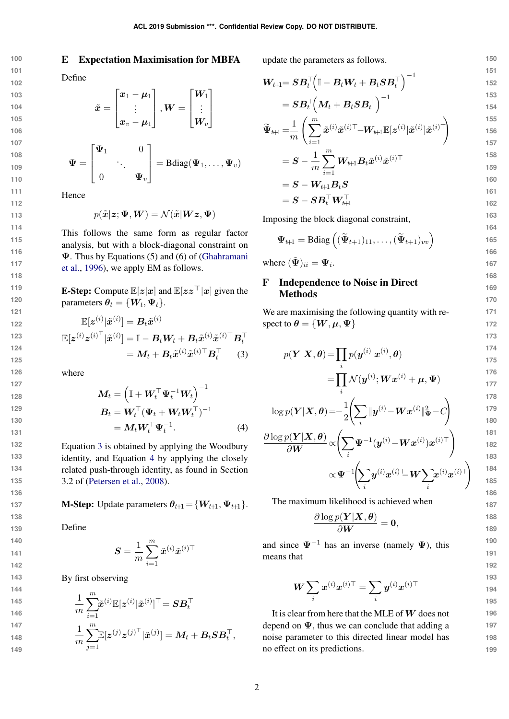### E Expectation Maximisation for MBFA

$$
\begin{array}{c} 102 \\ 103 \end{array}
$$

**100 101**

- **104**
- **105**
- **106 107**
- **108 109**
- **110 111 112**

Define

$$
\tilde{\boldsymbol{x}} = \begin{bmatrix} \boldsymbol{x}_1 - \boldsymbol{\mu}_1 \\ \vdots \\ \boldsymbol{x}_v - \boldsymbol{\mu}_1 \end{bmatrix}, \boldsymbol{W} = \begin{bmatrix} \boldsymbol{W}_1 \\ \vdots \\ \boldsymbol{W}_v \end{bmatrix}
$$

$$
\mathbf{\Psi} = \begin{bmatrix} \mathbf{\Psi}_1 & 0 \\ \vdots & \ddots & \\ 0 & \mathbf{\Psi}_v \end{bmatrix} = \text{Bdiag}(\mathbf{\Psi}_1, \dots, \mathbf{\Psi}_v)
$$

Hence

$$
p(\tilde{\boldsymbol{x}}|\boldsymbol{z};\boldsymbol{\Psi},\boldsymbol{W})=\mathcal{N}(\tilde{\boldsymbol{x}}|\boldsymbol{W}\boldsymbol{z},\boldsymbol{\Psi})
$$

This follows the same form as regular factor analysis, but with a block-diagonal constraint on Ψ. Thus by Equations (5) and (6) of [\(Ghahramani](#page-2-0) [et al.,](#page-2-0) [1996\)](#page-2-0), we apply EM as follows.

**E-Step:** Compute  $\mathbb{E}[z|x]$  and  $\mathbb{E}[zz^{\top}|x]$  given the parameters  $\boldsymbol{\theta}_t = \{\boldsymbol{W}_t, \boldsymbol{\Psi}_t\}.$ 

$$
\mathbb{E}[\boldsymbol{z}^{(i)}|\tilde{\boldsymbol{x}}^{(i)}] = \boldsymbol{B}_t \tilde{\boldsymbol{x}}^{(i)}
$$
\n
$$
\mathbb{E}[\boldsymbol{z}^{(i)} \boldsymbol{z}^{(i)\top}|\tilde{\boldsymbol{x}}^{(i)}] = \mathbb{I} - \boldsymbol{B}_t \boldsymbol{W}_t + \boldsymbol{B}_t \tilde{\boldsymbol{x}}^{(i)} \tilde{\boldsymbol{x}}^{(i)\top} \boldsymbol{B}_t^\top
$$
\n
$$
= \boldsymbol{M}_t + \boldsymbol{B}_t \tilde{\boldsymbol{x}}^{(i)} \tilde{\boldsymbol{x}}^{(i)\top} \boldsymbol{B}_t^\top \qquad (3)
$$

where

$$
M_t = \left(\mathbb{I} + W_t^\top \Psi_t^{-1} W_t\right)^{-1}
$$
  
\n
$$
B_t = W_t^\top (\Psi_t + W_t W_t^\top)^{-1}
$$
  
\n
$$
= M_t W_t^\top \Psi_t^{-1}.
$$
 (4)

Equation [3](#page-1-0) is obtained by applying the Woodbury identity, and Equation [4](#page-1-1) by applying the closely related push-through identity, as found in Section 3.2 of [\(Petersen et al.,](#page-2-1) [2008\)](#page-2-1).

**M-Step:** Update parameters  $\theta_{t+1} = \{W_{t+1}, \Psi_{t+1}\}.$ 

Define

$$
\boldsymbol{S} = \frac{1}{m}\sum_{i=1}^m \tilde{\boldsymbol{x}}^{(i)}\tilde{\boldsymbol{x}}^{(i)\top}
$$

By first observing

145  
\n146  
\n147  
\n148  
\n149  
\n
$$
\frac{1}{m} \sum_{i=1}^{m} \tilde{x}^{(i)} \mathbb{E}[z^{(i)} | \tilde{x}^{(i)}]^\top = \mathbf{S} \mathbf{B}_t^\top
$$
\n147  
\n148  
\n
$$
\frac{1}{m} \sum_{j=1}^{m} \mathbb{E}[z^{(j)} z^{(j)}^\top | \tilde{x}^{(j)}] = \mathbf{M}_t + \mathbf{B}_t \mathbf{S} \mathbf{B}_t^\top,
$$

update the parameters as follows.

$$
\boldsymbol{W}_{t+1} = \boldsymbol{S} \boldsymbol{B}_t^\top \Big(\mathbb{I} - \boldsymbol{B}_t \boldsymbol{W}_t + \boldsymbol{B}_t \boldsymbol{S} \boldsymbol{B}_t^\top\Big)^{-1} \hspace{1.5cm}\overset{151}{\underset{152}{\hspace{0.5cm}1}}{}
$$

$$
= \boldsymbol{S} \boldsymbol{B}_t^\top \hspace{-1mm} \left( \boldsymbol{M}_t + \boldsymbol{B}_t \boldsymbol{S} \boldsymbol{B}_t^\top \right)^{-1} \\ \hspace*{5.5cm} \boldsymbol{^{153}} \\
$$

$$
\widetilde{\boldsymbol{\Psi}}_{t+1} = \frac{1}{m} \left( \sum_{i=1}^{m} \tilde{\boldsymbol{x}}^{(i)} \tilde{\boldsymbol{x}}^{(i)\top} - \boldsymbol{W}_{t+1} \mathbb{E}[\boldsymbol{z}^{(i)} | \tilde{\boldsymbol{x}}^{(i)}] \tilde{\boldsymbol{x}}^{(i)\top} \right) \tag{155}
$$

$$
=\boldsymbol{S}-\frac{1}{m}\sum_{i=1}^{m}\boldsymbol{W}_{t\!+\!1}\boldsymbol{B}_{t}\tilde{\boldsymbol{x}}^{(i)}\tilde{\boldsymbol{x}}^{(i)\top}\hspace{2cm}^{158}
$$

$$
= \mathbf{S} - \mathbf{W}_{t+1} \mathbf{B}_t \mathbf{S}
$$

$$
= \mathbf{S} - \mathbf{S} \mathbf{B}_t^\top \mathbf{W}_{t+1}^\top
$$
 162

Imposing the block diagonal constraint,

$$
\boldsymbol{\Psi}_{t\!+\!1} = \text{Bdiag}\left( (\widetilde{\boldsymbol{\Psi}}_{t+1})_{11}, \ldots, (\widetilde{\boldsymbol{\Psi}}_{t+1})_{vv} \right)
$$

where  $({\tilde{\mathbf{\Psi}}})_{ii} = {\mathbf{\Psi}}_i$ .

## F Independence to Noise in Direct Methods

<span id="page-1-0"></span>We are maximising the following quantity with respect to  $\theta = \{W, \mu, \Psi\}$ 

$$
p(\boldsymbol{Y}|\boldsymbol{X},\boldsymbol{\theta})\!=\!\prod_i p(\boldsymbol{y}^{(i)}|\boldsymbol{x}^{(i)},\boldsymbol{\theta})
$$

$$
= \prod_i {\cal N}(\bm{y}^{(i)}; \bm{W}\bm{x}^{(i)} + \bm{\mu}, \bm{\Psi})
$$

$$
\log p(\boldsymbol{Y}|\boldsymbol{X}, \boldsymbol{\theta}) = -\frac{1}{2} \left( \sum_{i} \|\boldsymbol{y}^{(i)} - \boldsymbol{W}\boldsymbol{x}^{(i)}\|_{\boldsymbol{\Psi}}^2 - C \right)
$$

<span id="page-1-1"></span>
$$
\dfrac{\partial \log p(\boldsymbol{Y}|\boldsymbol{X},\boldsymbol{\theta})}{\partial \boldsymbol{W}}\!\propto\!\! \left(\!\sum_{i}\!\boldsymbol{\Psi}^{-1}(\boldsymbol{y}^{(i)}\!-\!\boldsymbol{W}\boldsymbol{x}^{(i)})\boldsymbol{x}^{(i)\top}\!\right)\\ \propto\! \boldsymbol{\Psi}^{-1}\!\!\left(\!\sum_{i}\!\boldsymbol{y}^{(i)}\boldsymbol{x}^{(i)\top}\!\!\!-\!\boldsymbol{W}\!\sum_{i}\!\boldsymbol{x}^{(i)}\boldsymbol{x}^{(i)\top}\!\right)
$$

The maximum likelihood is achieved when

$$
\frac{\partial \log p(\boldsymbol{Y}|\boldsymbol{X}, \boldsymbol{\theta})}{\partial \boldsymbol{W}} = \mathbf{0},
$$

and since  $\Psi^{-1}$  has an inverse (namely  $\Psi$ ), this means that

$$
\bm{W} \sum_i \bm{x}^{(i)} \bm{x}^{(i)\top} = \sum_i \bm{y}^{(i)} \bm{x}^{(i)\top}
$$

It is clear from here that the MLE of  $W$  does not depend on  $\Psi$ , thus we can conclude that adding a noise parameter to this directed linear model has no effect on its predictions.

**150**